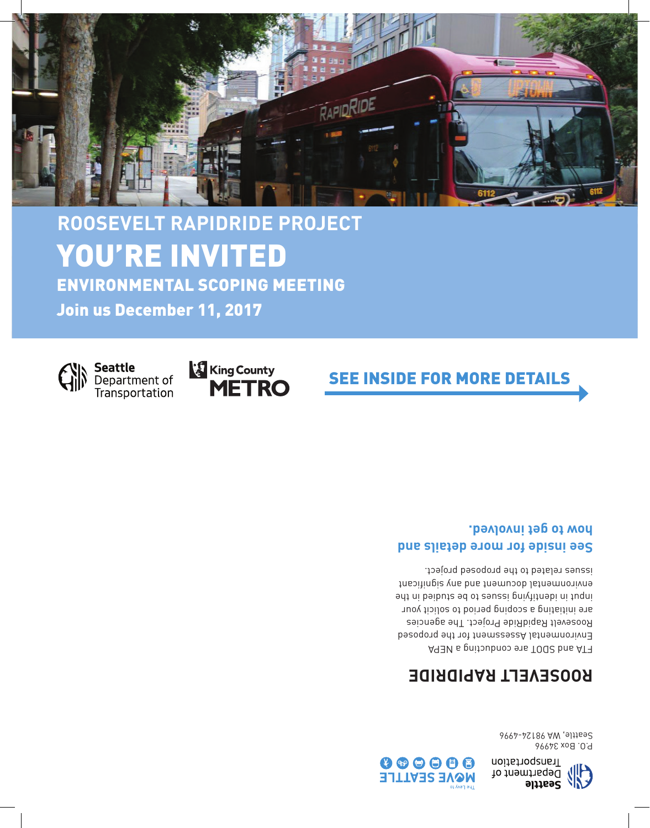

P.O. Box 34996 Seattle, WA 98124-4996

### **ROOSEVELT RAPIDRIDE**

FTA and SDOT are conducting a NEPA Environmental Assessment for the proposed Roosevelt RapidRide Project. The agencies are initiating a scoping period to solicit your ing in identifying is an inductional in the studies of the studies of the studies of the studies of the studie environmental document and any significant issues related to the proposed project.

#### **See inside for more details and how to get involved.**



**Seattle** Department of Transportation

Join us December 11, 2017





## **ROOSEVELT RAPIDRIDE PROJECT** YOU'RE INVITED ENVIRONMENTAL SCOPING MEETING